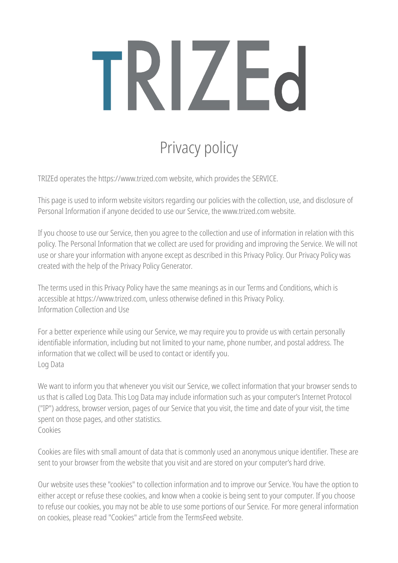# TRIZEd

# Privacy policy

TRIZEd operates the https://www.trized.com website, which provides the SERVICE.

This page is used to inform website visitors regarding our policies with the collection, use, and disclosure of Personal Information if anyone decided to use our Service, the www.trized.com website.

If you choose to use our Service, then you agree to the collection and use of information in relation with this policy. The Personal Information that we collect are used for providing and improving the Service. We will not use or share your information with anyone except as described in this Privacy Policy. Our Privacy Policy was created with the help of the Privacy Policy Generator.

The terms used in this Privacy Policy have the same meanings as in our Terms and Conditions, which is accessible at https://www.trized.com, unless otherwise defined in this Privacy Policy. Information Collection and Use

For a better experience while using our Service, we may require you to provide us with certain personally identifiable information, including but not limited to your name, phone number, and postal address. The information that we collect will be used to contact or identify you. Log Data

We want to inform you that whenever you visit our Service, we collect information that your browser sends to us that is called Log Data. This Log Data may include information such as your computer's Internet Protocol ("IP") address, browser version, pages of our Service that you visit, the time and date of your visit, the time spent on those pages, and other statistics. Cookies

Cookies are files with small amount of data that is commonly used an anonymous unique identifier. These are sent to your browser from the website that you visit and are stored on your computer's hard drive.

Our website uses these "cookies" to collection information and to improve our Service. You have the option to either accept or refuse these cookies, and know when a cookie is being sent to your computer. If you choose to refuse our cookies, you may not be able to use some portions of our Service. For more general information on cookies, please read "Cookies" article from the TermsFeed website.